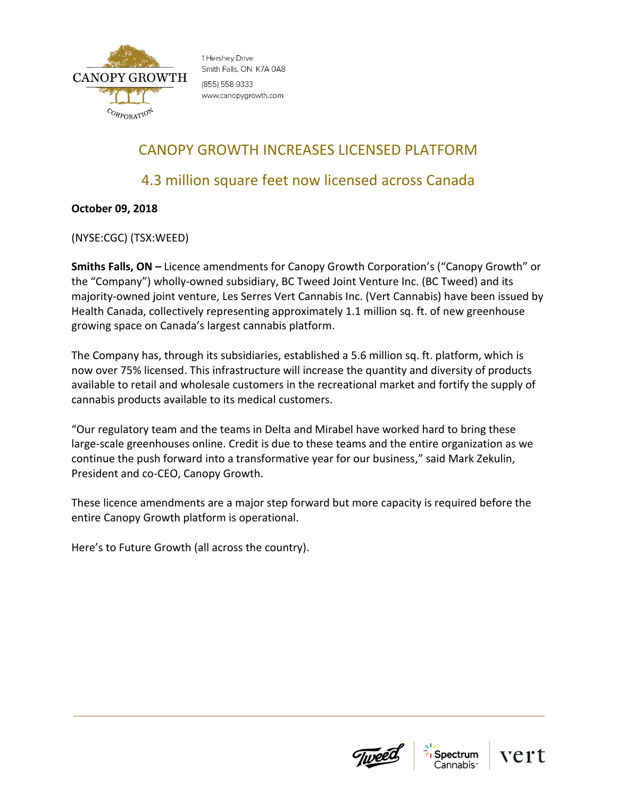

1 Hershey Drive Smith Falls, ON K7A 0A8 (855) 558 9333 www.canopygrowth.com

# CANOPY GROWTH INCREASES LICENSED PLATFORM

## 4.3 million square feet now licensed across Canada

## **October 09, 2018**

(NYSE:CGC) (TSX:WEED)

**Smiths Falls, ON –** Licence amendments for Canopy Growth Corporation's ("Canopy Growth" or the "Company") wholly-owned subsidiary, BC Tweed Joint Venture Inc. (BC Tweed) and its majority-owned joint venture, Les Serres Vert Cannabis Inc. (Vert Cannabis) have been issued by Health Canada, collectively representing approximately 1.1 million sq. ft. of new greenhouse growing space on Canada's largest cannabis platform.

The Company has, through its subsidiaries, established a 5.6 million sq. ft. platform, which is now over 75% licensed. This infrastructure will increase the quantity and diversity of products available to retail and wholesale customers in the recreational market and fortify the supply of cannabis products available to its medical customers.

"Our regulatory team and the teams in Delta and Mirabel have worked hard to bring these large-scale greenhouses online. Credit is due to these teams and the entire organization as we continue the push forward into a transformative year for our business," said Mark Zekulin, President and co-CEO, Canopy Growth.

These licence amendments are a major step forward but more capacity is required before the entire Canopy Growth platform is operational.

Here's to Future Growth (all across the country).